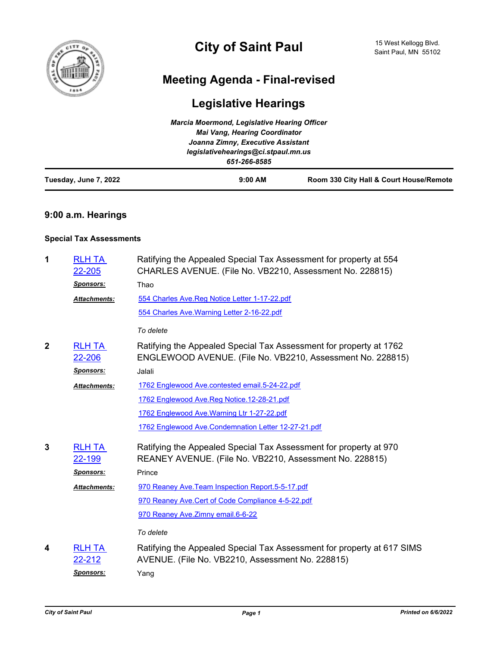

# **City of Saint Paul**

## **Meeting Agenda - Final-revised**

## **Legislative Hearings**

|                       | Marcia Moermond, Legislative Hearing Officer |                                         |
|-----------------------|----------------------------------------------|-----------------------------------------|
|                       | <b>Mai Vang, Hearing Coordinator</b>         |                                         |
|                       | Joanna Zimny, Executive Assistant            |                                         |
|                       | legislativehearings@ci.stpaul.mn.us          |                                         |
|                       | 651-266-8585                                 |                                         |
| Tuesday, June 7, 2022 | $9:00$ AM                                    | Room 330 City Hall & Court House/Remote |

### **9:00 a.m. Hearings**

### **Special Tax Assessments**

| 1            | <b>RLH TA</b><br>22-205        | Ratifying the Appealed Special Tax Assessment for property at 554<br>CHARLES AVENUE. (File No. VB2210, Assessment No. 228815)    |
|--------------|--------------------------------|----------------------------------------------------------------------------------------------------------------------------------|
|              | <b>Sponsors:</b>               | Thao                                                                                                                             |
|              | Attachments:                   | 554 Charles Ave. Reg Notice Letter 1-17-22.pdf                                                                                   |
|              |                                | 554 Charles Ave. Warning Letter 2-16-22.pdf                                                                                      |
|              |                                | To delete                                                                                                                        |
| $\mathbf{2}$ | <b>RLH TA</b><br>22-206        | Ratifying the Appealed Special Tax Assessment for property at 1762<br>ENGLEWOOD AVENUE. (File No. VB2210, Assessment No. 228815) |
|              | <u>Sponsors:</u>               | Jalali                                                                                                                           |
|              | Attachments:                   | 1762 Englewood Ave.contested email.5-24-22.pdf                                                                                   |
|              |                                | 1762 Englewood Ave.Reg Notice.12-28-21.pdf                                                                                       |
|              |                                | 1762 Englewood Ave. Warning Ltr 1-27-22.pdf                                                                                      |
|              |                                | 1762 Englewood Ave.Condemnation Letter 12-27-21.pdf                                                                              |
| 3            | <b>RLH TA</b><br><u>22-199</u> | Ratifying the Appealed Special Tax Assessment for property at 970<br>REANEY AVENUE. (File No. VB2210, Assessment No. 228815)     |
|              | <b>Sponsors:</b>               | Prince                                                                                                                           |
|              | Attachments:                   | 970 Reaney Ave. Team Inspection Report. 5-5-17.pdf                                                                               |
|              |                                | 970 Reaney Ave.Cert of Code Compliance 4-5-22.pdf                                                                                |
|              |                                | 970 Reaney Ave. Zimny email. 6-6-22                                                                                              |
|              |                                | To delete                                                                                                                        |
| 4            | <b>RLH TA</b><br><u>22-212</u> | Ratifying the Appealed Special Tax Assessment for property at 617 SIMS<br>AVENUE. (File No. VB2210, Assessment No. 228815)       |
|              | <b>Sponsors:</b>               | Yang                                                                                                                             |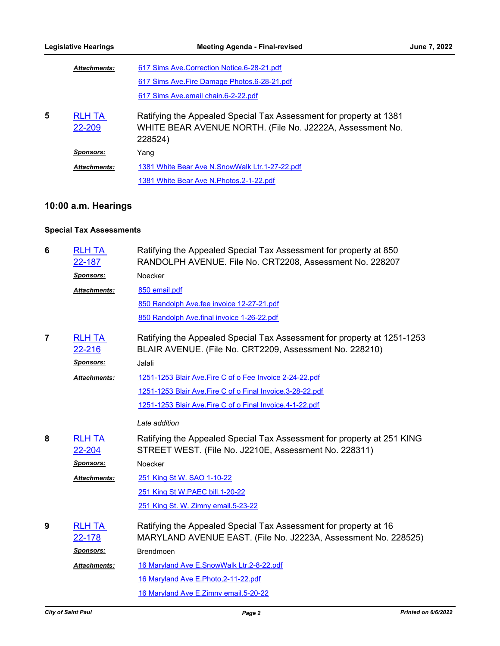|   | <b>Attachments:</b>     | 617 Sims Ave. Correction Notice. 6-28-21.pdf                                                                                               |
|---|-------------------------|--------------------------------------------------------------------------------------------------------------------------------------------|
|   |                         | 617 Sims Ave. Fire Damage Photos. 6-28-21. pdf                                                                                             |
|   |                         | 617 Sims Ave.email chain.6-2-22.pdf                                                                                                        |
| 5 | <b>RLH TA</b><br>22-209 | Ratifying the Appealed Special Tax Assessment for property at 1381<br>WHITE BEAR AVENUE NORTH. (File No. J2222A, Assessment No.<br>228524) |
|   | <b>Sponsors:</b>        | Yang                                                                                                                                       |
|   | <b>Attachments:</b>     | 1381 White Bear Ave N.SnowWalk Ltr.1-27-22.pdf                                                                                             |
|   |                         | 1381 White Bear Ave N. Photos. 2-1-22.pdf                                                                                                  |

## **10:00 a.m. Hearings**

## **Special Tax Assessments**

| 6                       | <b>RLH TA</b><br>22-187 | Ratifying the Appealed Special Tax Assessment for property at 850<br>RANDOLPH AVENUE. File No. CRT2208, Assessment No. 228207      |
|-------------------------|-------------------------|------------------------------------------------------------------------------------------------------------------------------------|
|                         | <b>Sponsors:</b>        | Noecker                                                                                                                            |
|                         | Attachments:            | 850 email.pdf                                                                                                                      |
|                         |                         | 850 Randolph Ave.fee invoice 12-27-21.pdf                                                                                          |
|                         |                         | 850 Randolph Ave.final invoice 1-26-22.pdf                                                                                         |
| $\overline{\mathbf{7}}$ | <b>RLH TA</b><br>22-216 | Ratifying the Appealed Special Tax Assessment for property at 1251-1253<br>BLAIR AVENUE. (File No. CRT2209, Assessment No. 228210) |
|                         | <b>Sponsors:</b>        | Jalali                                                                                                                             |
|                         | Attachments:            | 1251-1253 Blair Ave. Fire C of o Fee Invoice 2-24-22.pdf                                                                           |
|                         |                         | 1251-1253 Blair Ave. Fire C of o Final Invoice. 3-28-22.pdf                                                                        |
|                         |                         | 1251-1253 Blair Ave. Fire C of o Final Invoice. 4-1-22.pdf                                                                         |
|                         |                         | Late addition                                                                                                                      |
| 8                       | <b>RLH TA</b><br>22-204 | Ratifying the Appealed Special Tax Assessment for property at 251 KING<br>STREET WEST. (File No. J2210E, Assessment No. 228311)    |
|                         | <b>Sponsors:</b>        | Noecker                                                                                                                            |
|                         | <b>Attachments:</b>     | 251 King St W. SAO 1-10-22                                                                                                         |
|                         |                         | 251 King St W.PAEC bill.1-20-22                                                                                                    |
|                         |                         | 251 King St. W. Zimny email.5-23-22                                                                                                |
| 9                       | <b>RLH TA</b><br>22-178 | Ratifying the Appealed Special Tax Assessment for property at 16<br>MARYLAND AVENUE EAST. (File No. J2223A, Assessment No. 228525) |
|                         | Sponsors:               | Brendmoen                                                                                                                          |
|                         | <b>Attachments:</b>     | 16 Maryland Ave E.SnowWalk Ltr.2-8-22.pdf                                                                                          |
|                         |                         | 16 Maryland Ave E.Photo, 2-11-22.pdf                                                                                               |
|                         |                         | 16 Maryland Ave E.Zimny email.5-20-22                                                                                              |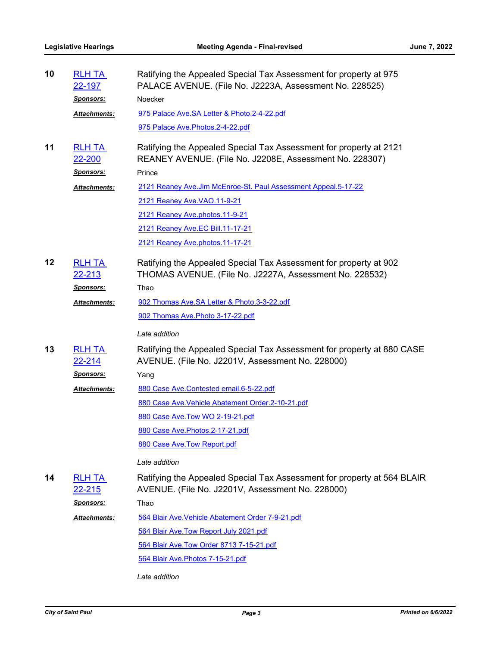| 10 | <b>RLH TA</b><br><u>22-197</u> | Ratifying the Appealed Special Tax Assessment for property at 975<br>PALACE AVENUE. (File No. J2223A, Assessment No. 228525)  |
|----|--------------------------------|-------------------------------------------------------------------------------------------------------------------------------|
|    | <u>Sponsors:</u>               | Noecker                                                                                                                       |
|    | <b>Attachments:</b>            | 975 Palace Ave.SA Letter & Photo.2-4-22.pdf                                                                                   |
|    |                                | 975 Palace Ave. Photos. 2-4-22.pdf                                                                                            |
| 11 | <b>RLH TA</b><br>22-200        | Ratifying the Appealed Special Tax Assessment for property at 2121<br>REANEY AVENUE. (File No. J2208E, Assessment No. 228307) |
|    | <u>Sponsors:</u>               | Prince                                                                                                                        |
|    | Attachments:                   | 2121 Reaney Ave.Jim McEnroe-St. Paul Assessment Appeal.5-17-22                                                                |
|    |                                | 2121 Reaney Ave. VAO. 11-9-21                                                                                                 |
|    |                                | 2121 Reaney Ave.photos.11-9-21                                                                                                |
|    |                                | 2121 Reaney Ave.EC Bill.11-17-21                                                                                              |
|    |                                | 2121 Reaney Ave.photos.11-17-21                                                                                               |
| 12 | <b>RLH TA</b><br>22-213        | Ratifying the Appealed Special Tax Assessment for property at 902<br>THOMAS AVENUE. (File No. J2227A, Assessment No. 228532)  |
|    | <u>Sponsors:</u>               | Thao                                                                                                                          |
|    | Attachments:                   | 902 Thomas Ave.SA Letter & Photo.3-3-22.pdf                                                                                   |
|    |                                | 902 Thomas Ave. Photo 3-17-22.pdf                                                                                             |
|    |                                | Late addition                                                                                                                 |
| 13 | <b>RLH TA</b><br>22-214        | Ratifying the Appealed Special Tax Assessment for property at 880 CASE<br>AVENUE. (File No. J2201V, Assessment No. 228000)    |
|    | <u>Sponsors:</u>               | Yang                                                                                                                          |
|    | Attachments:                   | 880 Case Ave.Contested email.6-5-22.pdf                                                                                       |
|    |                                | 880 Case Ave. Vehicle Abatement Order. 2-10-21.pdf                                                                            |
|    |                                | 880 Case Ave.Tow WO 2-19-21.pdf                                                                                               |
|    |                                | 880 Case Ave. Photos. 2-17-21. pdf                                                                                            |
|    |                                | 880 Case Ave. Tow Report.pdf                                                                                                  |
|    |                                | Late addition                                                                                                                 |
| 14 | <u>RLH TA</u><br><u>22-215</u> | Ratifying the Appealed Special Tax Assessment for property at 564 BLAIR<br>AVENUE. (File No. J2201V, Assessment No. 228000)   |
|    | <u>Sponsors:</u>               | Thao                                                                                                                          |
|    | Attachments:                   | 564 Blair Ave. Vehicle Abatement Order 7-9-21.pdf                                                                             |
|    |                                | 564 Blair Ave. Tow Report July 2021.pdf                                                                                       |
|    |                                | 564 Blair Ave. Tow Order 8713 7-15-21.pdf                                                                                     |
|    |                                | 564 Blair Ave. Photos 7-15-21.pdf                                                                                             |
|    |                                | Late addition                                                                                                                 |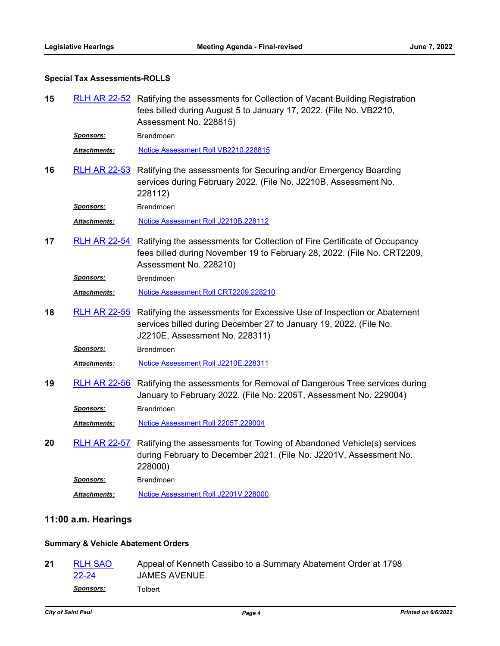#### **Special Tax Assessments-ROLLS**

15 [RLH AR 22-52](http://stpaul.legistar.com/gateway.aspx?m=l&id=/matter.aspx?key=41856) Ratifying the assessments for Collection of Vacant Building Registration fees billed during August 5 to January 17, 2022. (File No. VB2210, Assessment No. 228815)

*Sponsors:* Brendmoen

*Attachments:* [Notice Assessment Roll VB2210.228815](http://StPaul.legistar.com/gateway.aspx?M=F&ID=635aa9de-6ce2-40c9-8f42-b3c114fc23ff.pdf)

Ratifying the assessments for Securing and/or Emergency Boarding services during February 2022. (File No. J2210B, Assessment No. 228112) **16** [RLH AR 22-53](http://stpaul.legistar.com/gateway.aspx?m=l&id=/matter.aspx?key=41857)

*Sponsors:* Brendmoen

*Attachments:* [Notice Assessment Roll J2210B.228112](http://StPaul.legistar.com/gateway.aspx?M=F&ID=7a06e18a-50b1-4ca2-b531-feb33bd0ddd3.pdf)

17 [RLH AR 22-54](http://stpaul.legistar.com/gateway.aspx?m=l&id=/matter.aspx?key=41858) Ratifying the assessments for Collection of Fire Certificate of Occupancy fees billed during November 19 to February 28, 2022. (File No. CRT2209, Assessment No. 228210)

*Sponsors:* Brendmoen

*Attachments:* [Notice Assessment Roll CRT2209.228210](http://StPaul.legistar.com/gateway.aspx?M=F&ID=c2ee08c3-c12c-408c-8479-86eaf3b4187d.pdf)

18 [RLH AR 22-55](http://stpaul.legistar.com/gateway.aspx?m=l&id=/matter.aspx?key=41859) Ratifying the assessments for Excessive Use of Inspection or Abatement services billed during December 27 to January 19, 2022. (File No. J2210E, Assessment No. 228311)

*Sponsors:* Brendmoen

*Attachments:* [Notice Assessment Roll J2210E.228311](http://StPaul.legistar.com/gateway.aspx?M=F&ID=85f1174c-1d22-4728-9a91-c81d59af202b.pdf)

19 [RLH AR 22-56](http://stpaul.legistar.com/gateway.aspx?m=l&id=/matter.aspx?key=41860) Ratifying the assessments for Removal of Dangerous Tree services during January to February 2022. (File No. 2205T, Assessment No. 229004) *Sponsors:* Brendmoen

*Attachments:* [Notice Assessment Roll 2205T.229004](http://StPaul.legistar.com/gateway.aspx?M=F&ID=e3954012-f064-43e0-8ad2-9dcb1dbd543d.pdf)

Ratifying the assessments for Towing of Abandoned Vehicle(s) services during February to December 2021. (File No. J2201V, Assessment No. 228000) **20** [RLH AR 22-57](http://stpaul.legistar.com/gateway.aspx?m=l&id=/matter.aspx?key=41861) *Sponsors:* Brendmoen

*Attachments:* [Notice Assessment Roll J2201V.228000](http://StPaul.legistar.com/gateway.aspx?M=F&ID=e6a2e98d-9252-43e0-a643-a4a6ed73e6c9.pdf)

#### **11:00 a.m. Hearings**

#### **Summary & Vehicle Abatement Orders**

Appeal of Kenneth Cassibo to a Summary Abatement Order at 1798 JAMES AVENUE. **21** [RLH SAO](http://stpaul.legistar.com/gateway.aspx?m=l&id=/matter.aspx?key=41950)  22-24 *Sponsors:* Tolbert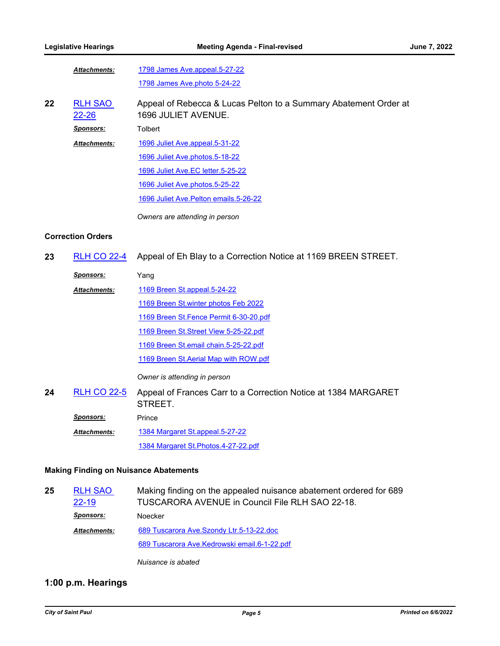| <b>Attachments:</b> | 1798 James Ave.appeal.5-27-22 |  |
|---------------------|-------------------------------|--|
|                     | 1798 James Ave.photo 5-24-22  |  |

Appeal of Rebecca & Lucas Pelton to a Summary Abatement Order at 1696 JULIET AVENUE. **22** [RLH SAO](http://stpaul.legistar.com/gateway.aspx?m=l&id=/matter.aspx?key=41958)  22-26 *Sponsors:* Tolbert [1696 Juliet Ave.appeal.5-31-22](http://StPaul.legistar.com/gateway.aspx?M=F&ID=1e2952d3-5d75-425f-952a-59c050f10824.pdf) [1696 Juliet Ave.photos.5-18-22](http://StPaul.legistar.com/gateway.aspx?M=F&ID=117ecca9-880c-4129-9fa3-badb1357fa2d.pdf) [1696 Juliet Ave.EC letter.5-25-22](http://StPaul.legistar.com/gateway.aspx?M=F&ID=44f0054c-4f30-458c-917b-55c499b9f381.pdf) [1696 Juliet Ave.photos.5-25-22](http://StPaul.legistar.com/gateway.aspx?M=F&ID=e2afb45a-4356-4324-8035-3c39631cd4ae.pdf) [1696 Juliet Ave.Pelton emails.5-26-22](http://StPaul.legistar.com/gateway.aspx?M=F&ID=615977f1-ff4b-4ac0-9da9-3f0ef040f260.pdf) *Attachments: Owners are attending in person*

#### **Correction Orders**

**23** [RLH CO 22-4](http://stpaul.legistar.com/gateway.aspx?m=l&id=/matter.aspx?key=41919) Appeal of Eh Blay to a Correction Notice at 1169 BREEN STREET.

*Sponsors:* Yang

| <b>Attachments:</b> | 1169 Breen St. appeal. 5-24-22          |  |
|---------------------|-----------------------------------------|--|
|                     | 1169 Breen St. winter photos Feb 2022   |  |
|                     | 1169 Breen St. Fence Permit 6-30-20.pdf |  |
|                     | 1169 Breen St. Street View 5-25-22.pdf  |  |
|                     | 1169 Breen St.email chain.5-25-22.pdf   |  |
|                     | 1169 Breen St. Aerial Map with ROW.pdf  |  |
|                     |                                         |  |

*Owner is attending in person*

Appeal of Frances Carr to a Correction Notice at 1384 MARGARET STREET. **24** [RLH CO 22-5](http://stpaul.legistar.com/gateway.aspx?m=l&id=/matter.aspx?key=41947) **Sponsors:** Prince [1384 Margaret St.appeal.5-27-22](http://StPaul.legistar.com/gateway.aspx?M=F&ID=7436f211-091f-440f-ad9e-57239e662b03.pdf) [1384 Margaret St.Photos.4-27-22.pdf](http://StPaul.legistar.com/gateway.aspx?M=F&ID=0d68fc4b-19dc-4f9e-94a3-bfaaf738fc53.pdf) *Attachments:*

#### **Making Finding on Nuisance Abatements**

Making finding on the appealed nuisance abatement ordered for 689 TUSCARORA AVENUE in Council File RLH SAO 22-18. **25** [RLH SAO](http://stpaul.legistar.com/gateway.aspx?m=l&id=/matter.aspx?key=41864)  22-19 *Sponsors:* Noecker [689 Tuscarora Ave.Szondy Ltr.5-13-22.doc](http://StPaul.legistar.com/gateway.aspx?M=F&ID=3c2010b5-5af2-4be1-8dc7-179485f9ceec.doc) [689 Tuscarora Ave.Kedrowski email.6-1-22.pdf](http://StPaul.legistar.com/gateway.aspx?M=F&ID=d2dd9d68-7664-4eba-abd4-009a9708e9e4.pdf) *Attachments:*

*Nuisance is abated*

#### **1:00 p.m. Hearings**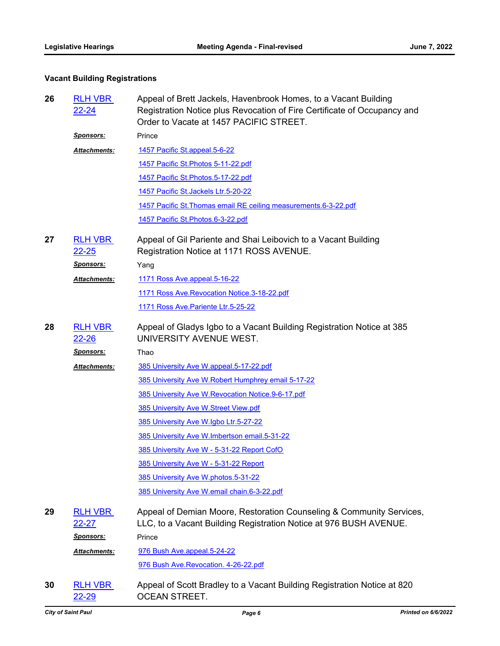## **Vacant Building Registrations**

| 26 | <b>RLH VBR</b><br>22-24        | Appeal of Brett Jackels, Havenbrook Homes, to a Vacant Building<br>Registration Notice plus Revocation of Fire Certificate of Occupancy and<br>Order to Vacate at 1457 PACIFIC STREET. |
|----|--------------------------------|----------------------------------------------------------------------------------------------------------------------------------------------------------------------------------------|
|    | <u>Sponsors:</u>               | Prince                                                                                                                                                                                 |
|    | Attachments:                   | 1457 Pacific St.appeal.5-6-22                                                                                                                                                          |
|    |                                | 1457 Pacific St. Photos 5-11-22.pdf                                                                                                                                                    |
|    |                                | 1457 Pacific St. Photos. 5-17-22.pdf                                                                                                                                                   |
|    |                                | 1457 Pacific St. Jackels Ltr. 5-20-22                                                                                                                                                  |
|    |                                | 1457 Pacific St. Thomas email RE ceiling measurements.6-3-22.pdf                                                                                                                       |
|    |                                | 1457 Pacific St. Photos. 6-3-22.pdf                                                                                                                                                    |
| 27 | <b>RLH VBR</b><br>$22 - 25$    | Appeal of Gil Pariente and Shai Leibovich to a Vacant Building<br>Registration Notice at 1171 ROSS AVENUE.                                                                             |
|    | <u>Sponsors:</u>               | Yang                                                                                                                                                                                   |
|    | Attachments:                   | 1171 Ross Ave.appeal.5-16-22                                                                                                                                                           |
|    |                                | 1171 Ross Ave. Revocation Notice. 3-18-22.pdf                                                                                                                                          |
|    |                                | 1171 Ross Ave. Pariente Ltr. 5-25-22                                                                                                                                                   |
| 28 | <b>RLH VBR</b><br><u>22-26</u> | Appeal of Gladys Igbo to a Vacant Building Registration Notice at 385<br>UNIVERSITY AVENUE WEST.                                                                                       |
|    | <b>Sponsors:</b>               | Thao                                                                                                                                                                                   |
|    | Attachments:                   | 385 University Ave W.appeal.5-17-22.pdf                                                                                                                                                |
|    |                                | 385 University Ave W.Robert Humphrey email 5-17-22                                                                                                                                     |
|    |                                | 385 University Ave W. Revocation Notice. 9-6-17.pdf                                                                                                                                    |
|    |                                | 385 University Ave W.Street View.pdf                                                                                                                                                   |
|    |                                | 385 University Ave W.Igbo Ltr.5-27-22                                                                                                                                                  |
|    |                                | 385 University Ave W.Imbertson email.5-31-22                                                                                                                                           |
|    |                                | 385 University Ave W - 5-31-22 Report CofO                                                                                                                                             |
|    |                                | 385 University Ave W - 5-31-22 Report                                                                                                                                                  |
|    |                                | 385 University Ave W.photos.5-31-22                                                                                                                                                    |
|    |                                | 385 University Ave W.email chain.6-3-22.pdf                                                                                                                                            |
| 29 | <b>RLH VBR</b><br>22-27        | Appeal of Demian Moore, Restoration Counseling & Community Services,<br>LLC, to a Vacant Building Registration Notice at 976 BUSH AVENUE.                                              |
|    | <b>Sponsors:</b>               | Prince                                                                                                                                                                                 |
|    | <b>Attachments:</b>            | 976 Bush Ave.appeal.5-24-22                                                                                                                                                            |
|    |                                | 976 Bush Ave.Revocation. 4-26-22.pdf                                                                                                                                                   |
| 30 | <b>RLH VBR</b><br>22-29        | Appeal of Scott Bradley to a Vacant Building Registration Notice at 820<br><b>OCEAN STREET.</b>                                                                                        |